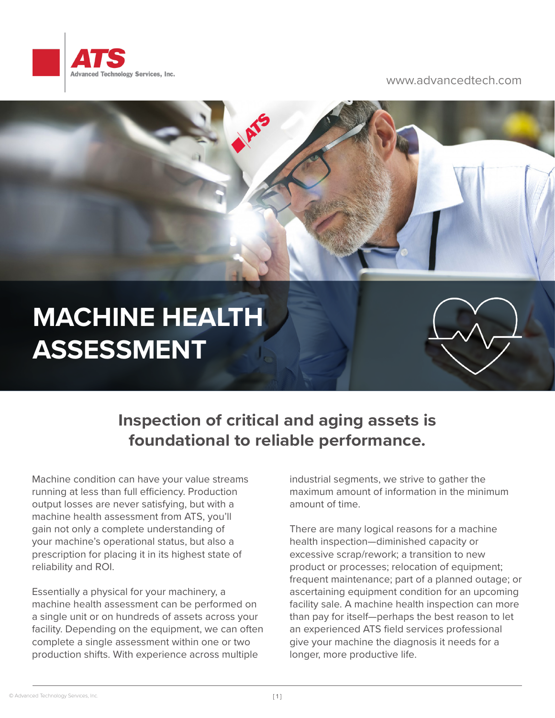

## www.advancedtech.com



## **Inspection of critical and aging assets is foundational to reliable performance.**

Machine condition can have your value streams running at less than full efficiency. Production output losses are never satisfying, but with a machine health assessment from ATS, you'll gain not only a complete understanding of your machine's operational status, but also a prescription for placing it in its highest state of reliability and ROI.

Essentially a physical for your machinery, a machine health assessment can be performed on a single unit or on hundreds of assets across your facility. Depending on the equipment, we can often complete a single assessment within one or two production shifts. With experience across multiple

industrial segments, we strive to gather the maximum amount of information in the minimum amount of time.

There are many logical reasons for a machine health inspection—diminished capacity or excessive scrap/rework; a transition to new product or processes; relocation of equipment; frequent maintenance; part of a planned outage; or ascertaining equipment condition for an upcoming facility sale. A machine health inspection can more than pay for itself—perhaps the best reason to let an experienced ATS field services professional give your machine the diagnosis it needs for a longer, more productive life.